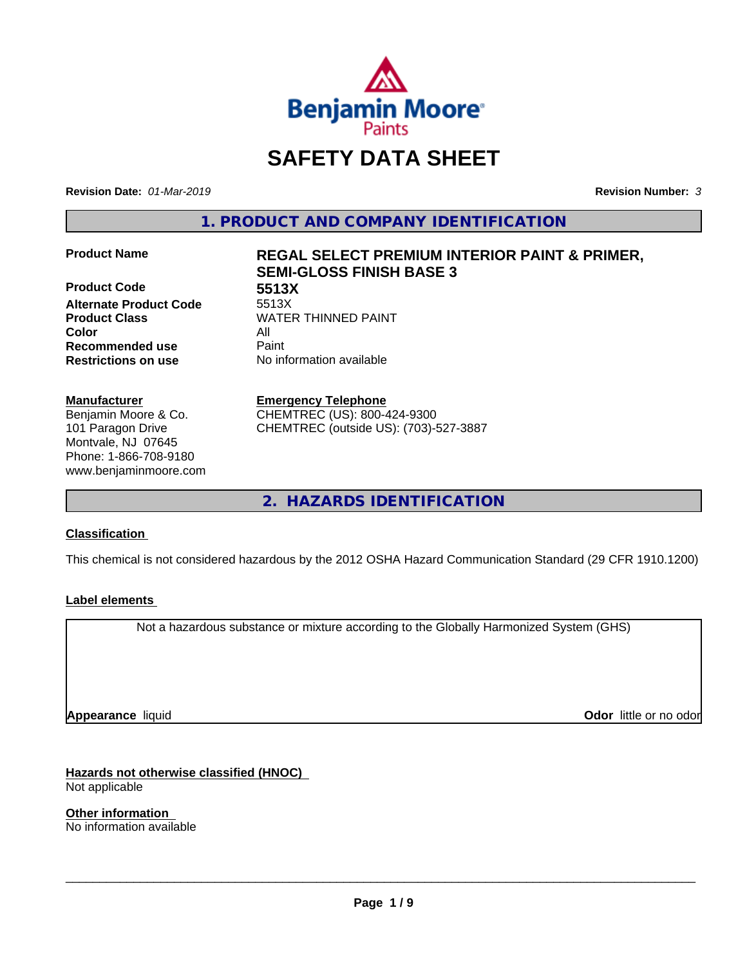

# **SAFETY DATA SHEET**

**Revision Date:** *01-Mar-2019* **Revision Number:** *3*

**1. PRODUCT AND COMPANY IDENTIFICATION**

**Product Code 5513X Alternate Product Code Color** All **Recommended use** Paint **Restrictions on use** No information available

#### **Manufacturer**

Benjamin Moore & Co. 101 Paragon Drive Montvale, NJ 07645 Phone: 1-866-708-9180 www.benjaminmoore.com

# **Product Name REGAL SELECT PREMIUM INTERIOR PAINT & PRIMER, SEMI-GLOSS FINISH BASE 3**

**Product Class WATER THINNED PAINT** 

#### **Emergency Telephone**

CHEMTREC (US): 800-424-9300 CHEMTREC (outside US): (703)-527-3887

**2. HAZARDS IDENTIFICATION**

#### **Classification**

This chemical is not considered hazardous by the 2012 OSHA Hazard Communication Standard (29 CFR 1910.1200)

#### **Label elements**

Not a hazardous substance or mixture according to the Globally Harmonized System (GHS)

**Appearance** liquid

**Odor** little or no odor

**Hazards not otherwise classified (HNOC)** Not applicable

**Other information** No information available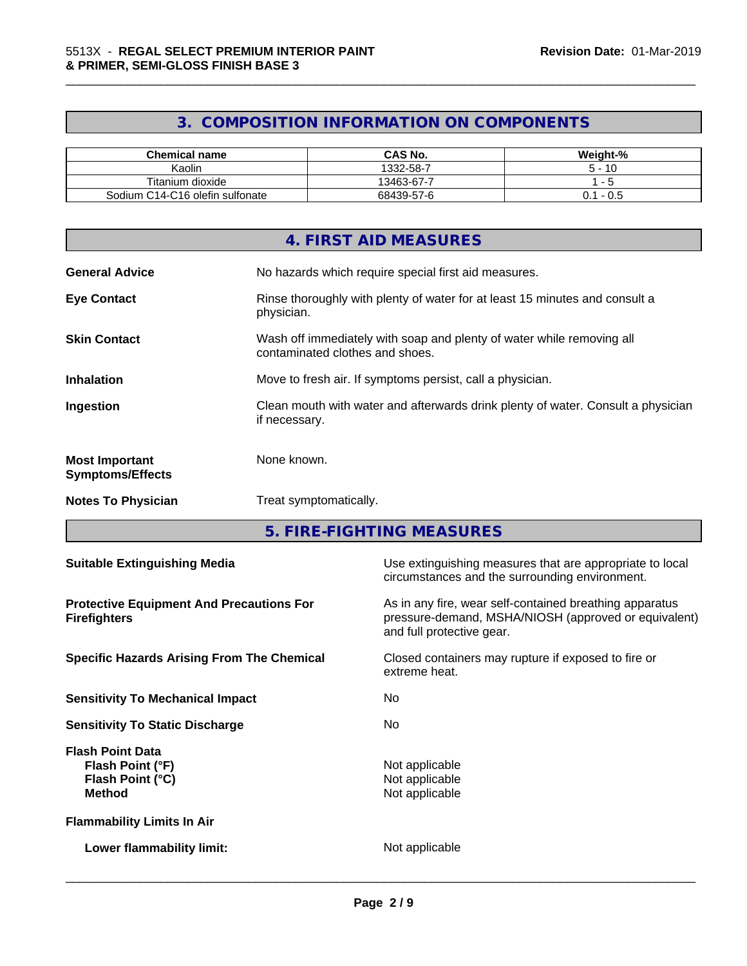# **3. COMPOSITION INFORMATION ON COMPONENTS**

\_\_\_\_\_\_\_\_\_\_\_\_\_\_\_\_\_\_\_\_\_\_\_\_\_\_\_\_\_\_\_\_\_\_\_\_\_\_\_\_\_\_\_\_\_\_\_\_\_\_\_\_\_\_\_\_\_\_\_\_\_\_\_\_\_\_\_\_\_\_\_\_\_\_\_\_\_\_\_\_\_\_\_\_\_\_\_\_\_\_\_\_\_

| <b>Chemical name</b>            | <b>CAS No.</b> | Weight-%     |
|---------------------------------|----------------|--------------|
| Kaolin                          | 1332-58-7      | - 10         |
| Titanium dioxide                | 13463-67-7     |              |
| Sodium C14-C16 olefin sulfonate | 68439-57-6     | - U.S<br>J.I |

|                                                  | 4. FIRST AID MEASURES                                                                                    |
|--------------------------------------------------|----------------------------------------------------------------------------------------------------------|
| <b>General Advice</b>                            | No hazards which require special first aid measures.                                                     |
| <b>Eye Contact</b>                               | Rinse thoroughly with plenty of water for at least 15 minutes and consult a<br>physician.                |
| <b>Skin Contact</b>                              | Wash off immediately with soap and plenty of water while removing all<br>contaminated clothes and shoes. |
| <b>Inhalation</b>                                | Move to fresh air. If symptoms persist, call a physician.                                                |
| Ingestion                                        | Clean mouth with water and afterwards drink plenty of water. Consult a physician<br>if necessary.        |
| <b>Most Important</b><br><b>Symptoms/Effects</b> | None known.                                                                                              |
| <b>Notes To Physician</b>                        | Treat symptomatically.                                                                                   |

**5. FIRE-FIGHTING MEASURES**

| <b>Suitable Extinguishing Media</b>                                              | Use extinguishing measures that are appropriate to local<br>circumstances and the surrounding environment.                                   |
|----------------------------------------------------------------------------------|----------------------------------------------------------------------------------------------------------------------------------------------|
| <b>Protective Equipment And Precautions For</b><br><b>Firefighters</b>           | As in any fire, wear self-contained breathing apparatus<br>pressure-demand, MSHA/NIOSH (approved or equivalent)<br>and full protective gear. |
| <b>Specific Hazards Arising From The Chemical</b>                                | Closed containers may rupture if exposed to fire or<br>extreme heat.                                                                         |
| <b>Sensitivity To Mechanical Impact</b>                                          | No.                                                                                                                                          |
| <b>Sensitivity To Static Discharge</b>                                           | No.                                                                                                                                          |
| <b>Flash Point Data</b><br>Flash Point (°F)<br>Flash Point (°C)<br><b>Method</b> | Not applicable<br>Not applicable<br>Not applicable                                                                                           |
| <b>Flammability Limits In Air</b>                                                |                                                                                                                                              |
| Lower flammability limit:                                                        | Not applicable                                                                                                                               |
|                                                                                  |                                                                                                                                              |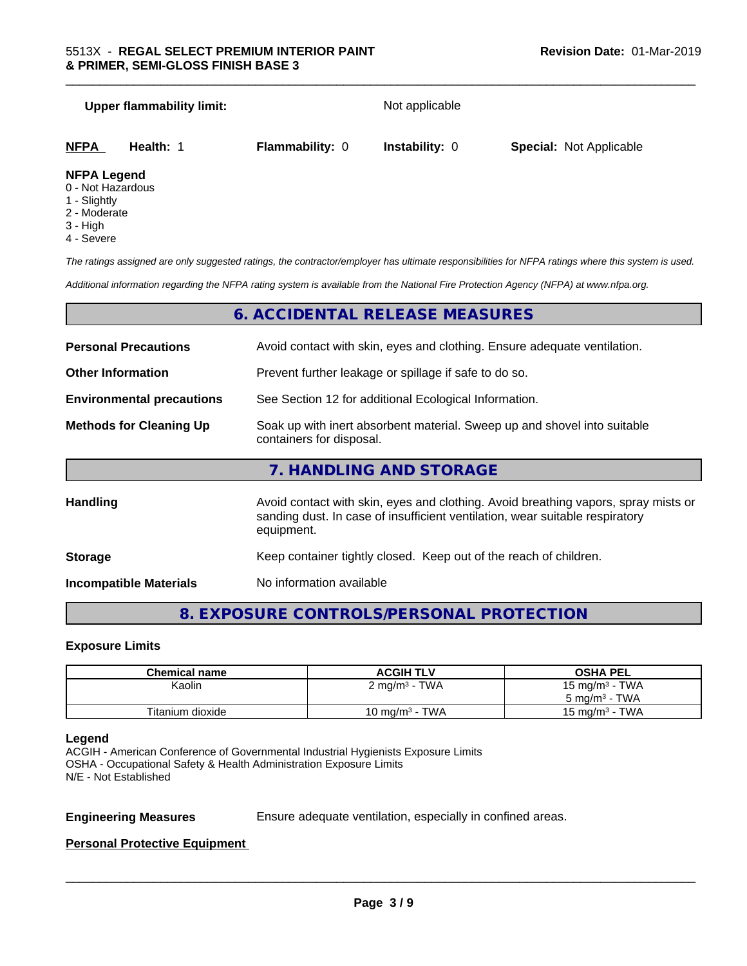| <b>Upper flammability limit:</b>                        |                        | Not applicable        |                                |  |
|---------------------------------------------------------|------------------------|-----------------------|--------------------------------|--|
| <b>NFPA</b><br>Health: 1                                | <b>Flammability: 0</b> | <b>Instability: 0</b> | <b>Special: Not Applicable</b> |  |
| <b>NFPA Legend</b><br>0 - Not Hazardous<br>1 - Slightly |                        |                       |                                |  |

\_\_\_\_\_\_\_\_\_\_\_\_\_\_\_\_\_\_\_\_\_\_\_\_\_\_\_\_\_\_\_\_\_\_\_\_\_\_\_\_\_\_\_\_\_\_\_\_\_\_\_\_\_\_\_\_\_\_\_\_\_\_\_\_\_\_\_\_\_\_\_\_\_\_\_\_\_\_\_\_\_\_\_\_\_\_\_\_\_\_\_\_\_

- 2 Moderate
- 3 High
- 4 Severe

*The ratings assigned are only suggested ratings, the contractor/employer has ultimate responsibilities for NFPA ratings where this system is used.*

*Additional information regarding the NFPA rating system is available from the National Fire Protection Agency (NFPA) at www.nfpa.org.*

### **6. ACCIDENTAL RELEASE MEASURES**

| <b>Personal Precautions</b>      | Avoid contact with skin, eyes and clothing. Ensure adequate ventilation.                                                                                                         |  |  |
|----------------------------------|----------------------------------------------------------------------------------------------------------------------------------------------------------------------------------|--|--|
| <b>Other Information</b>         | Prevent further leakage or spillage if safe to do so.                                                                                                                            |  |  |
| <b>Environmental precautions</b> | See Section 12 for additional Ecological Information.                                                                                                                            |  |  |
| <b>Methods for Cleaning Up</b>   | Soak up with inert absorbent material. Sweep up and shovel into suitable<br>containers for disposal.                                                                             |  |  |
|                                  | 7. HANDLING AND STORAGE                                                                                                                                                          |  |  |
| <b>Handling</b>                  | Avoid contact with skin, eyes and clothing. Avoid breathing vapors, spray mists or<br>sanding dust. In case of insufficient ventilation, wear suitable respiratory<br>equipment. |  |  |
| <b>Storage</b>                   | Keep container tightly closed. Keep out of the reach of children.                                                                                                                |  |  |

**Incompatible Materials** No information available

## **8. EXPOSURE CONTROLS/PERSONAL PROTECTION**

#### **Exposure Limits**

| <b>Chemical name</b> | <b>ACGIH TLV</b>           | <b>OSHA PEL</b>          |
|----------------------|----------------------------|--------------------------|
| Kaolin               | $2 \text{ mg/m}^3$ - TWA   | 15 mg/m $3$ - TWA        |
|                      |                            | $5 \text{ mg/m}^3$ - TWA |
| Titanium dioxide     | 10 mg/m <sup>3</sup> - TWA | 15 mg/m $3$ - TWA        |

#### **Legend**

ACGIH - American Conference of Governmental Industrial Hygienists Exposure Limits OSHA - Occupational Safety & Health Administration Exposure Limits N/E - Not Established

**Engineering Measures** Ensure adequate ventilation, especially in confined areas.

 $\overline{\phantom{a}}$  ,  $\overline{\phantom{a}}$  ,  $\overline{\phantom{a}}$  ,  $\overline{\phantom{a}}$  ,  $\overline{\phantom{a}}$  ,  $\overline{\phantom{a}}$  ,  $\overline{\phantom{a}}$  ,  $\overline{\phantom{a}}$  ,  $\overline{\phantom{a}}$  ,  $\overline{\phantom{a}}$  ,  $\overline{\phantom{a}}$  ,  $\overline{\phantom{a}}$  ,  $\overline{\phantom{a}}$  ,  $\overline{\phantom{a}}$  ,  $\overline{\phantom{a}}$  ,  $\overline{\phantom{a}}$ 

#### **Personal Protective Equipment**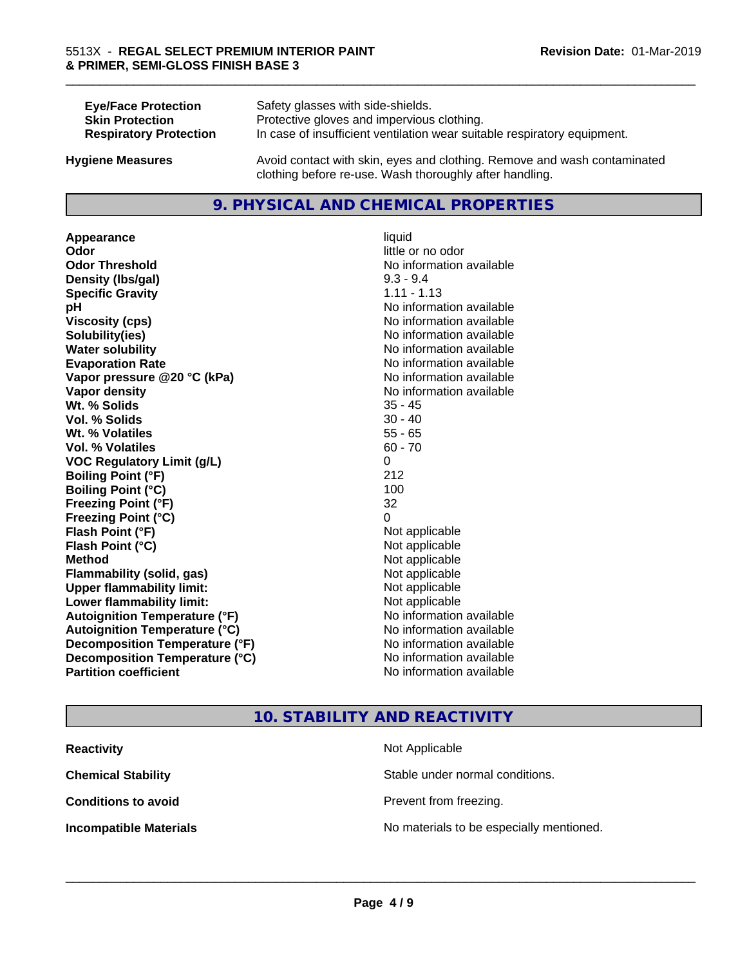| <b>Eye/Face Protection</b>    | Safety glasses with side-shields.                                        |
|-------------------------------|--------------------------------------------------------------------------|
| <b>Skin Protection</b>        | Protective gloves and impervious clothing.                               |
| <b>Respiratory Protection</b> | In case of insufficient ventilation wear suitable respiratory equipment. |
| <b>Hygiene Measures</b>       | Avoid contact with skin, eyes and clothing. Remove and wash contaminated |

#### **9. PHYSICAL AND CHEMICAL PROPERTIES**

clothing before re-use. Wash thoroughly after handling.

**Appearance** liquid **Odor** little or no odor **Odor Threshold No information available No information available Density (lbs/gal)** 9.3 - 9.4 **Specific Gravity** 1.11 - 1.13 **pH** No information available **Viscosity (cps)** No information available **Solubility(ies)** No information available **Water solubility Water solubility Water solubility Water solubility Water solubility Water solution Evaporation Rate No information available No information available Vapor pressure @20 °C (kPa)** No information available **Vapor density Vapor density No information available Wt. % Solids** 35 - 45 **Vol. % Solids** 30 - 40 **Wt. % Volatiles** 55 - 65 **Vol. % Volatiles** 60 - 70 **VOC Regulatory Limit (g/L)** 0 **Boiling Point (°F)** 212 **Boiling Point (°C)** 100 **Freezing Point (°F)** 32 **Freezing Point (°C)** 0 **Flash Point (°F)** Not applicable **Flash Point (°C)** Not applicable **Method** Not applicable **Flammability (solid, gas)** Not applicable **Upper flammability limit:** Not applicable **Lower flammability limit:** Not applicable **Autoignition Temperature (°F)** No information available **Autoignition Temperature (°C)** No information available **Decomposition Temperature (°F)** No information available **Decomposition Temperature (°C)**<br> **Partition coefficient Partition coefficient 1 Partition available No information available** 

**No information available** 

\_\_\_\_\_\_\_\_\_\_\_\_\_\_\_\_\_\_\_\_\_\_\_\_\_\_\_\_\_\_\_\_\_\_\_\_\_\_\_\_\_\_\_\_\_\_\_\_\_\_\_\_\_\_\_\_\_\_\_\_\_\_\_\_\_\_\_\_\_\_\_\_\_\_\_\_\_\_\_\_\_\_\_\_\_\_\_\_\_\_\_\_\_

## **10. STABILITY AND REACTIVITY**

| <b>Reactivity</b>             | Not Applicable                           |
|-------------------------------|------------------------------------------|
| <b>Chemical Stability</b>     | Stable under normal conditions.          |
| <b>Conditions to avoid</b>    | Prevent from freezing.                   |
| <b>Incompatible Materials</b> | No materials to be especially mentioned. |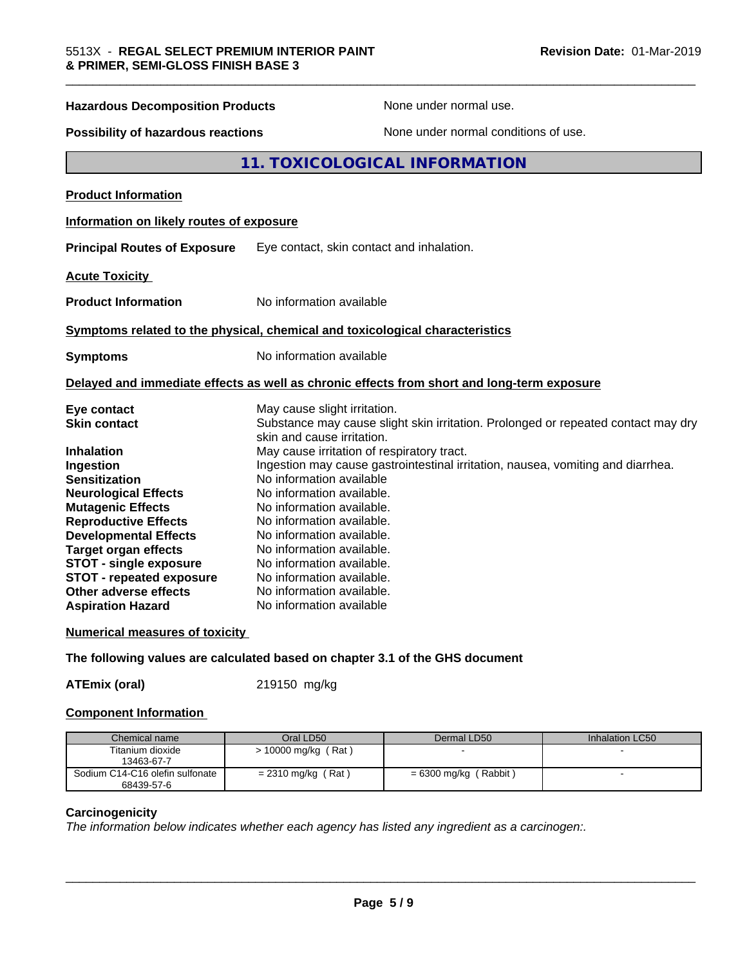| <b>Hazardous Decomposition Products</b>                                                                                                                                                                                                                                                                                                                                 | None under normal use.                                                                                                                                                                                                                                                                                                                                                                                                                                                                                                                                                           |
|-------------------------------------------------------------------------------------------------------------------------------------------------------------------------------------------------------------------------------------------------------------------------------------------------------------------------------------------------------------------------|----------------------------------------------------------------------------------------------------------------------------------------------------------------------------------------------------------------------------------------------------------------------------------------------------------------------------------------------------------------------------------------------------------------------------------------------------------------------------------------------------------------------------------------------------------------------------------|
| <b>Possibility of hazardous reactions</b>                                                                                                                                                                                                                                                                                                                               | None under normal conditions of use.                                                                                                                                                                                                                                                                                                                                                                                                                                                                                                                                             |
|                                                                                                                                                                                                                                                                                                                                                                         | 11. TOXICOLOGICAL INFORMATION                                                                                                                                                                                                                                                                                                                                                                                                                                                                                                                                                    |
| <b>Product Information</b>                                                                                                                                                                                                                                                                                                                                              |                                                                                                                                                                                                                                                                                                                                                                                                                                                                                                                                                                                  |
| Information on likely routes of exposure                                                                                                                                                                                                                                                                                                                                |                                                                                                                                                                                                                                                                                                                                                                                                                                                                                                                                                                                  |
| <b>Principal Routes of Exposure</b>                                                                                                                                                                                                                                                                                                                                     | Eye contact, skin contact and inhalation.                                                                                                                                                                                                                                                                                                                                                                                                                                                                                                                                        |
| <b>Acute Toxicity</b>                                                                                                                                                                                                                                                                                                                                                   |                                                                                                                                                                                                                                                                                                                                                                                                                                                                                                                                                                                  |
| <b>Product Information</b>                                                                                                                                                                                                                                                                                                                                              | No information available                                                                                                                                                                                                                                                                                                                                                                                                                                                                                                                                                         |
|                                                                                                                                                                                                                                                                                                                                                                         | Symptoms related to the physical, chemical and toxicological characteristics                                                                                                                                                                                                                                                                                                                                                                                                                                                                                                     |
| <b>Symptoms</b>                                                                                                                                                                                                                                                                                                                                                         | No information available                                                                                                                                                                                                                                                                                                                                                                                                                                                                                                                                                         |
|                                                                                                                                                                                                                                                                                                                                                                         | Delayed and immediate effects as well as chronic effects from short and long-term exposure                                                                                                                                                                                                                                                                                                                                                                                                                                                                                       |
| Eye contact<br><b>Skin contact</b><br>Inhalation<br>Ingestion<br><b>Sensitization</b><br><b>Neurological Effects</b><br><b>Mutagenic Effects</b><br><b>Reproductive Effects</b><br><b>Developmental Effects</b><br><b>Target organ effects</b><br><b>STOT - single exposure</b><br><b>STOT - repeated exposure</b><br>Other adverse effects<br><b>Aspiration Hazard</b> | May cause slight irritation.<br>Substance may cause slight skin irritation. Prolonged or repeated contact may dry<br>skin and cause irritation.<br>May cause irritation of respiratory tract.<br>Ingestion may cause gastrointestinal irritation, nausea, vomiting and diarrhea.<br>No information available<br>No information available.<br>No information available.<br>No information available.<br>No information available.<br>No information available.<br>No information available.<br>No information available.<br>No information available.<br>No information available |

\_\_\_\_\_\_\_\_\_\_\_\_\_\_\_\_\_\_\_\_\_\_\_\_\_\_\_\_\_\_\_\_\_\_\_\_\_\_\_\_\_\_\_\_\_\_\_\_\_\_\_\_\_\_\_\_\_\_\_\_\_\_\_\_\_\_\_\_\_\_\_\_\_\_\_\_\_\_\_\_\_\_\_\_\_\_\_\_\_\_\_\_\_

#### **Numerical measures of toxicity**

**The following values are calculated based on chapter 3.1 of the GHS document**

**ATEmix (oral)** 219150 mg/kg

#### **Component Information**

| Chemical name                   | Oral LD50             | Dermal LD50             | Inhalation LC50 |
|---------------------------------|-----------------------|-------------------------|-----------------|
| Titanium dioxide                | $> 10000$ mg/kg (Rat) |                         |                 |
| 13463-67-7                      |                       |                         |                 |
| Sodium C14-C16 olefin sulfonate | $= 2310$ mg/kg (Rat)  | $= 6300$ mg/kg (Rabbit) |                 |
| 68439-57-6                      |                       |                         |                 |

#### **Carcinogenicity**

*The information below indicateswhether each agency has listed any ingredient as a carcinogen:.*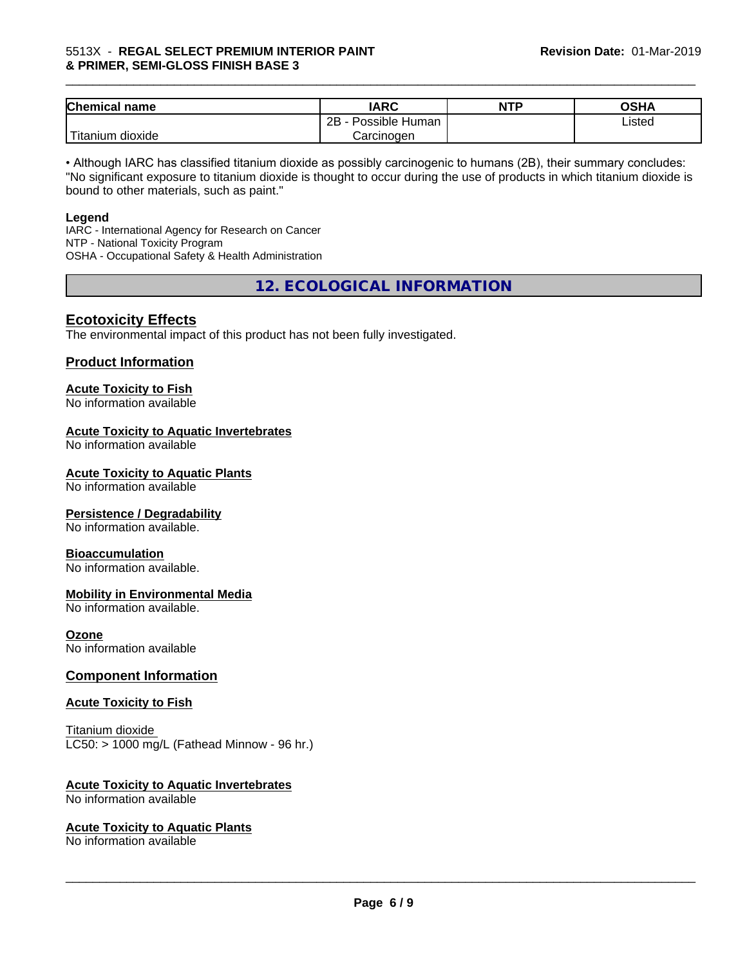#### 5513X - **REGAL SELECT PREMIUM INTERIOR PAINT & PRIMER, SEMI-GLOSS FINISH BASE 3**

| <b>Chemical name</b>  | <b>IARC</b>          | <b>NTP</b> | ດເ⊔∧<br>UJNA |
|-----------------------|----------------------|------------|--------------|
|                       | 2B<br>Possible Human |            | Listed       |
| ' Titanium<br>dioxide | Carcinogen           |            |              |

\_\_\_\_\_\_\_\_\_\_\_\_\_\_\_\_\_\_\_\_\_\_\_\_\_\_\_\_\_\_\_\_\_\_\_\_\_\_\_\_\_\_\_\_\_\_\_\_\_\_\_\_\_\_\_\_\_\_\_\_\_\_\_\_\_\_\_\_\_\_\_\_\_\_\_\_\_\_\_\_\_\_\_\_\_\_\_\_\_\_\_\_\_

• Although IARC has classified titanium dioxide as possibly carcinogenic to humans (2B), their summary concludes: "No significant exposure to titanium dioxide is thought to occur during the use of products in which titanium dioxide is bound to other materials, such as paint."

#### **Legend**

IARC - International Agency for Research on Cancer NTP - National Toxicity Program OSHA - Occupational Safety & Health Administration

**12. ECOLOGICAL INFORMATION**

### **Ecotoxicity Effects**

The environmental impact of this product has not been fully investigated.

#### **Product Information**

# **Acute Toxicity to Fish**

No information available

#### **Acute Toxicity to Aquatic Invertebrates**

No information available

#### **Acute Toxicity to Aquatic Plants**

No information available

#### **Persistence / Degradability**

No information available.

#### **Bioaccumulation**

No information available.

#### **Mobility in Environmental Media**

No information available.

#### **Ozone**

No information available

#### **Component Information**

#### **Acute Toxicity to Fish**

Titanium dioxide  $LC50:$  > 1000 mg/L (Fathead Minnow - 96 hr.)

#### **Acute Toxicity to Aquatic Invertebrates**

No information available

#### **Acute Toxicity to Aquatic Plants**

No information available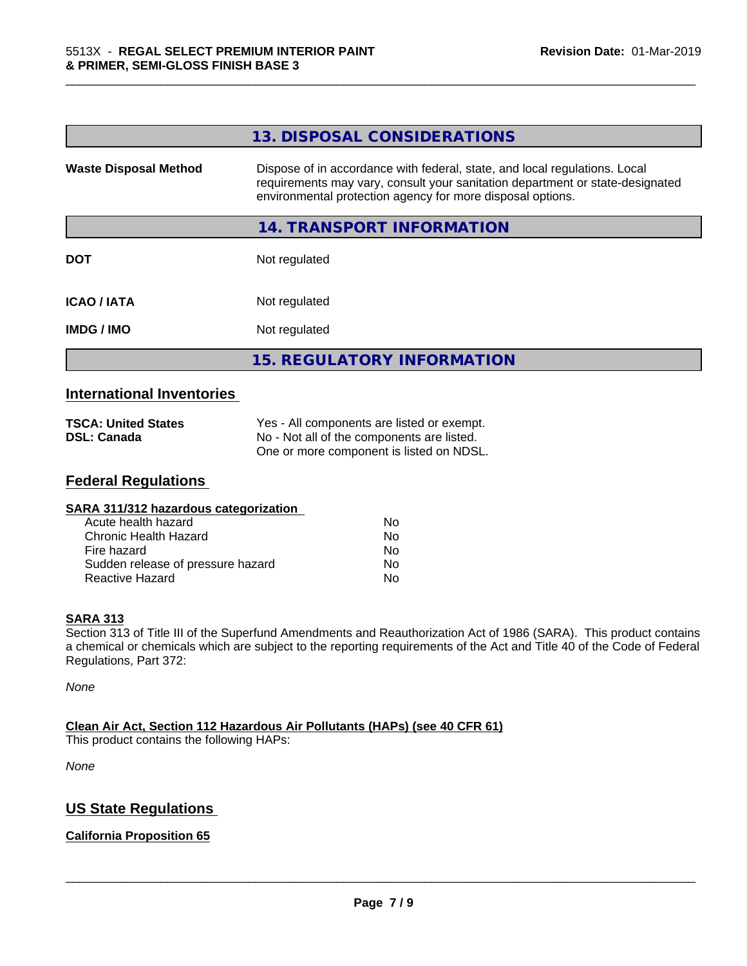|                                  | 13. DISPOSAL CONSIDERATIONS                                                                                                                                                                                               |
|----------------------------------|---------------------------------------------------------------------------------------------------------------------------------------------------------------------------------------------------------------------------|
| <b>Waste Disposal Method</b>     | Dispose of in accordance with federal, state, and local regulations. Local<br>requirements may vary, consult your sanitation department or state-designated<br>environmental protection agency for more disposal options. |
|                                  | 14. TRANSPORT INFORMATION                                                                                                                                                                                                 |
| <b>DOT</b>                       | Not regulated                                                                                                                                                                                                             |
| <b>ICAO/IATA</b>                 | Not regulated                                                                                                                                                                                                             |
| <b>IMDG/IMO</b>                  | Not regulated                                                                                                                                                                                                             |
|                                  | <b>15. REGULATORY INFORMATION</b>                                                                                                                                                                                         |
| <b>International Inventories</b> |                                                                                                                                                                                                                           |

\_\_\_\_\_\_\_\_\_\_\_\_\_\_\_\_\_\_\_\_\_\_\_\_\_\_\_\_\_\_\_\_\_\_\_\_\_\_\_\_\_\_\_\_\_\_\_\_\_\_\_\_\_\_\_\_\_\_\_\_\_\_\_\_\_\_\_\_\_\_\_\_\_\_\_\_\_\_\_\_\_\_\_\_\_\_\_\_\_\_\_\_\_

| <b>TSCA: United States</b> | Yes - All components are listed or exempt. |
|----------------------------|--------------------------------------------|
| <b>DSL: Canada</b>         | No - Not all of the components are listed. |
|                            | One or more component is listed on NDSL.   |

#### **Federal Regulations**

| Nο |  |
|----|--|
| Nο |  |
| No |  |
| No |  |
| No |  |
|    |  |

#### **SARA 313**

Section 313 of Title III of the Superfund Amendments and Reauthorization Act of 1986 (SARA). This product contains a chemical or chemicals which are subject to the reporting requirements of the Act and Title 40 of the Code of Federal Regulations, Part 372:

*None*

**Clean Air Act,Section 112 Hazardous Air Pollutants (HAPs) (see 40 CFR 61)** This product contains the following HAPs:

*None*

# **US State Regulations**

#### **California Proposition 65**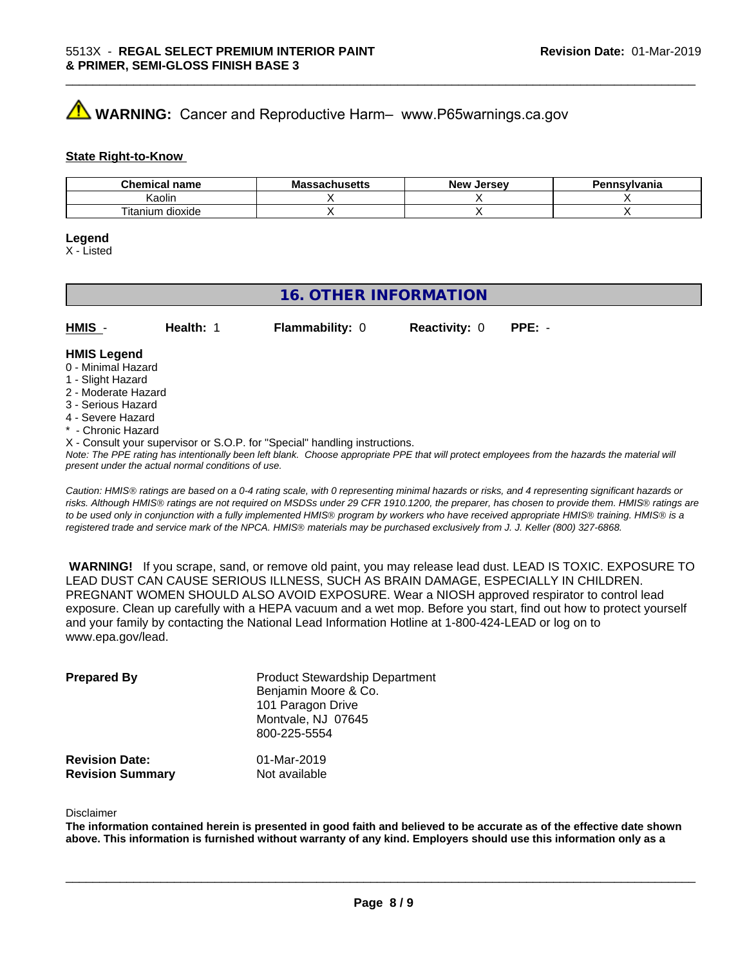# **AVIMARNING:** Cancer and Reproductive Harm– www.P65warnings.ca.gov

#### **State Right-to-Know**

| Chemic.<br>name<br>еннсаг               | <b>NIC</b><br>របាល១ចលេ | <b>Jerse</b> v<br><b>Nev</b> | าทรงIvania |
|-----------------------------------------|------------------------|------------------------------|------------|
| Kaolin                                  |                        |                              |            |
| $- \cdot$<br><br>dioxide<br>itani<br>um |                        |                              |            |

\_\_\_\_\_\_\_\_\_\_\_\_\_\_\_\_\_\_\_\_\_\_\_\_\_\_\_\_\_\_\_\_\_\_\_\_\_\_\_\_\_\_\_\_\_\_\_\_\_\_\_\_\_\_\_\_\_\_\_\_\_\_\_\_\_\_\_\_\_\_\_\_\_\_\_\_\_\_\_\_\_\_\_\_\_\_\_\_\_\_\_\_\_

#### **Legend**

X - Listed

# **16. OTHER INFORMATION**

| $HMIS -$           | Health: | <b>Flammability: 0</b> | <b>Reactivity: 0</b> | $PPE: -$ |
|--------------------|---------|------------------------|----------------------|----------|
| <b>HMIS Legend</b> |         |                        |                      |          |

#### 0 - Minimal Hazard

- 1 Slight Hazard
- 2 Moderate Hazard
- 3 Serious Hazard
- 4 Severe Hazard
- \* Chronic Hazard
- X Consult your supervisor or S.O.P. for "Special" handling instructions.

*Note: The PPE rating has intentionally been left blank. Choose appropriate PPE that will protect employees from the hazards the material will present under the actual normal conditions of use.*

*Caution: HMISÒ ratings are based on a 0-4 rating scale, with 0 representing minimal hazards or risks, and 4 representing significant hazards or risks. Although HMISÒ ratings are not required on MSDSs under 29 CFR 1910.1200, the preparer, has chosen to provide them. HMISÒ ratings are to be used only in conjunction with a fully implemented HMISÒ program by workers who have received appropriate HMISÒ training. HMISÒ is a registered trade and service mark of the NPCA. HMISÒ materials may be purchased exclusively from J. J. Keller (800) 327-6868.*

 **WARNING!** If you scrape, sand, or remove old paint, you may release lead dust. LEAD IS TOXIC. EXPOSURE TO LEAD DUST CAN CAUSE SERIOUS ILLNESS, SUCH AS BRAIN DAMAGE, ESPECIALLY IN CHILDREN. PREGNANT WOMEN SHOULD ALSO AVOID EXPOSURE.Wear a NIOSH approved respirator to control lead exposure. Clean up carefully with a HEPA vacuum and a wet mop. Before you start, find out how to protect yourself and your family by contacting the National Lead Information Hotline at 1-800-424-LEAD or log on to www.epa.gov/lead.

| <b>Prepared By</b>                               | <b>Product Stewardship Department</b><br>Benjamin Moore & Co.<br>101 Paragon Drive<br>Montvale, NJ 07645<br>800-225-5554 |  |
|--------------------------------------------------|--------------------------------------------------------------------------------------------------------------------------|--|
| <b>Revision Date:</b><br><b>Revision Summary</b> | 01-Mar-2019<br>Not available                                                                                             |  |

#### Disclaimer

The information contained herein is presented in good faith and believed to be accurate as of the effective date shown above. This information is furnished without warranty of any kind. Employers should use this information only as a